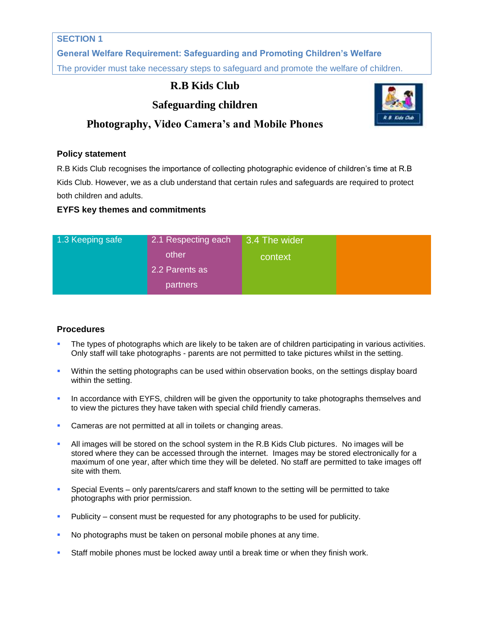### **SECTION 1**

**General Welfare Requirement: Safeguarding and Promoting Children's Welfare** The provider must take necessary steps to safeguard and promote the welfare of children.

## **R.B Kids Club**

# **Safeguarding children**



## **Photography, Video Camera's and Mobile Phones**

#### **Policy statement**

R.B Kids Club recognises the importance of collecting photographic evidence of children's time at R.B Kids Club. However, we as a club understand that certain rules and safeguards are required to protect both children and adults.

### **EYFS key themes and commitments**

| 1.3 Keeping safe | 2.1 Respecting each | 3.4 The wider |  |
|------------------|---------------------|---------------|--|
|                  | other               | context       |  |
|                  | 2.2 Parents as      |               |  |
|                  | partners            |               |  |

### **Procedures**

- The types of photographs which are likely to be taken are of children participating in various activities. Only staff will take photographs - parents are not permitted to take pictures whilst in the setting.
- Within the setting photographs can be used within observation books, on the settings display board within the setting.
- In accordance with EYFS, children will be given the opportunity to take photographs themselves and to view the pictures they have taken with special child friendly cameras.
- Cameras are not permitted at all in toilets or changing areas.
- All images will be stored on the school system in the R.B Kids Club pictures. No images will be stored where they can be accessed through the internet. Images may be stored electronically for a maximum of one year, after which time they will be deleted. No staff are permitted to take images off site with them.
- Special Events only parents/carers and staff known to the setting will be permitted to take photographs with prior permission.
- Publicity consent must be requested for any photographs to be used for publicity.
- No photographs must be taken on personal mobile phones at any time.
- Staff mobile phones must be locked away until a break time or when they finish work.